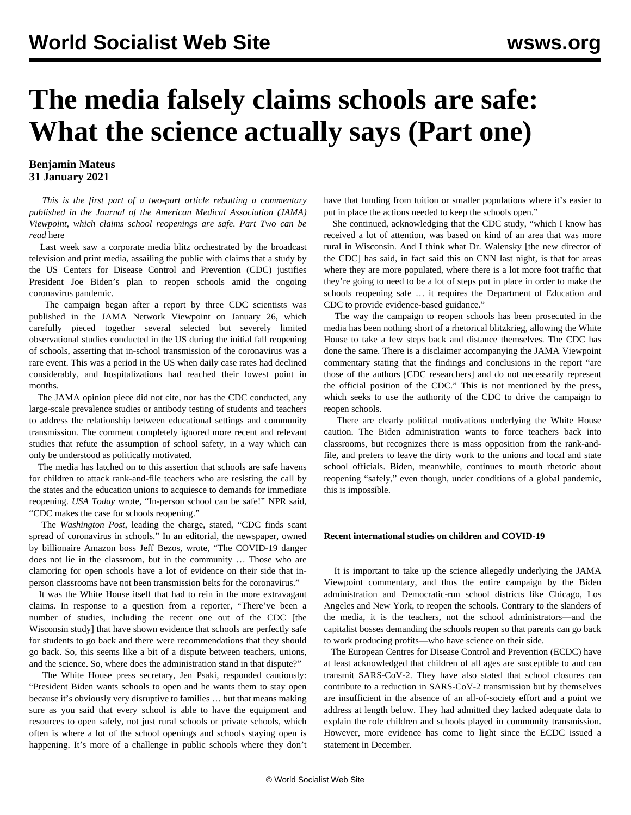# **The media falsely claims schools are safe: What the science actually says (Part one)**

### **Benjamin Mateus 31 January 2021**

 *This is the first part of a two-part article rebutting a commentary published in the Journal of the American Medical Association (JAMA) Viewpoint, which claims school reopenings are safe. Part Two can be read* [here](/en/articles/2021/02/02/cdc2-f02.html)

 Last week saw a corporate media blitz orchestrated by the broadcast television and print media, assailing the public with claims that a study by the US Centers for Disease Control and Prevention (CDC) justifies President Joe Biden's plan to reopen schools amid the ongoing coronavirus pandemic.

 The campaign began after a report by three CDC scientists was published in the [JAMA Network Viewpoint](https://jamanetwork.com/journals/jama/fullarticle/2775875) on January 26, which carefully pieced together several selected but severely limited observational studies conducted in the US during the initial fall reopening of schools, asserting that in-school transmission of the coronavirus was a rare event. This was a period in the US when daily case rates had declined considerably, and hospitalizations had reached their lowest point in months.

 The JAMA opinion piece did not cite, nor has the CDC conducted, any large-scale prevalence studies or antibody testing of students and teachers to address the relationship between educational settings and community transmission. The comment completely ignored more recent and relevant studies that refute the assumption of school safety, in a way which can only be understood as politically motivated.

 The media has latched on to this assertion that schools are safe havens for children to attack rank-and-file teachers who are resisting the call by the states and the education unions to acquiesce to demands for immediate reopening. *USA Today* wrote, "In-person school can be safe!" NPR said, "CDC makes the case for schools reopening."

 The *Washington Post*, leading the charge, stated, "CDC finds scant spread of coronavirus in schools." In an editorial, the newspaper, owned by billionaire Amazon boss Jeff Bezos, wrote, "The COVID-19 danger does not lie in the classroom, but in the community … Those who are clamoring for open schools have a lot of evidence on their side that inperson classrooms have not been transmission belts for the coronavirus."

 It was the White House itself that had to rein in the more extravagant claims. In response to a question from a reporter, "There've been a number of studies, including the recent one out of the CDC [the Wisconsin study] that have shown evidence that schools are perfectly safe for students to go back and there were recommendations that they should go back. So, this seems like a bit of a dispute between teachers, unions, and the science. So, where does the administration stand in that dispute?"

 The White House press secretary, Jen Psaki, responded cautiously: "President Biden wants schools to open and he wants them to stay open because it's obviously very disruptive to families … but that means making sure as you said that every school is able to have the equipment and resources to open safely, not just rural schools or private schools, which often is where a lot of the school openings and schools staying open is happening. It's more of a challenge in public schools where they don't have that funding from tuition or smaller populations where it's easier to put in place the actions needed to keep the schools open."

 She continued, acknowledging that the CDC study, "which I know has received a lot of attention, was based on kind of an area that was more rural in Wisconsin. And I think what Dr. Walensky [the new director of the CDC] has said, in fact said this on CNN last night, is that for areas where they are more populated, where there is a lot more foot traffic that they're going to need to be a lot of steps put in place in order to make the schools reopening safe … it requires the Department of Education and CDC to provide evidence-based guidance."

 The way the campaign to reopen schools has been prosecuted in the media has been nothing short of a rhetorical blitzkrieg, allowing the White House to take a few steps back and distance themselves. The CDC has done the same. There is a disclaimer accompanying the JAMA Viewpoint commentary stating that the findings and conclusions in the report "are those of the authors [CDC researchers] and do not necessarily represent the official position of the CDC." This is not mentioned by the press, which seeks to use the authority of the CDC to drive the campaign to reopen schools.

 There are clearly political motivations underlying the White House caution. The Biden administration wants to force teachers back into classrooms, but recognizes there is mass opposition from the rank-andfile, and prefers to leave the dirty work to the unions and local and state school officials. Biden, meanwhile, continues to mouth rhetoric about reopening "safely," even though, under conditions of a global pandemic, this is impossible.

#### **Recent international studies on children and COVID-19**

 It is important to take up the science allegedly underlying the JAMA Viewpoint commentary, and thus the entire campaign by the Biden administration and Democratic-run school districts like Chicago, Los Angeles and New York, to reopen the schools. Contrary to the slanders of the media, it is the teachers, not the school administrators—and the capitalist bosses demanding the schools reopen so that parents can go back to work producing profits—who have science on their side.

 The European Centres for Disease Control and Prevention (ECDC) have at least acknowledged that children of all ages are susceptible to and can transmit SARS-CoV-2. They have also stated that school closures can contribute to a reduction in SARS-CoV-2 transmission but by themselves are insufficient in the absence of an all-of-society effort and a point we address at length below. They had admitted they lacked adequate data to explain the role children and schools played in community transmission. However, more evidence has come to light since the ECDC issued a statement in December.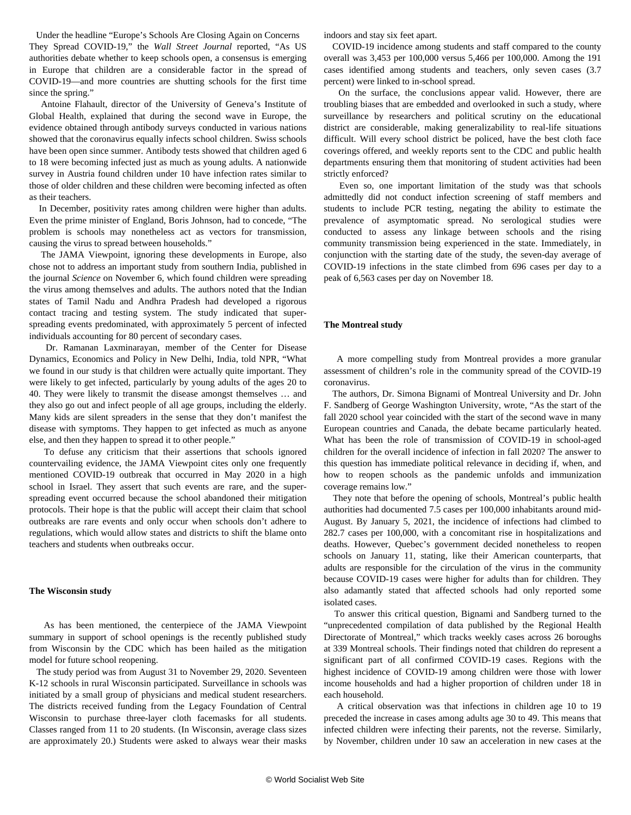Under the headline "Europe's Schools Are Closing Again on Concerns They Spread COVID-19," the *Wall Street Journal* reported, "As US authorities debate whether to keep schools open, a consensus is emerging in Europe that children are a considerable factor in the spread of COVID-19—and more countries are shutting schools for the first time since the spring."

 Antoine Flahault, director of the University of Geneva's Institute of Global Health, explained that during the second wave in Europe, the evidence obtained through antibody surveys conducted in various nations showed that the coronavirus equally infects school children. Swiss schools have been open since summer. Antibody tests showed that children aged 6 to 18 were becoming infected just as much as young adults. A nationwide survey in Austria found children under 10 have infection rates similar to those of older children and these children were becoming infected as often as their teachers.

 In December, positivity rates among children were higher than adults. Even the prime minister of England, Boris Johnson, had to concede, "The problem is schools may nonetheless act as vectors for transmission, causing the virus to spread between households."

 The JAMA Viewpoint, ignoring these developments in Europe, also chose not to address an important [study](https://science.sciencemag.org/content/370/6517/691) from southern India, published in the journal *Science* on November 6, which found children were spreading the virus among themselves and adults. The authors noted that the Indian states of Tamil Nadu and Andhra Pradesh had developed a rigorous contact tracing and testing system. The study indicated that superspreading events predominated, with approximately 5 percent of infected individuals accounting for 80 percent of secondary cases.

 Dr. Ramanan Laxminarayan, member of the Center for Disease Dynamics, Economics and Policy in New Delhi, India, told NPR, "What we found in our study is that children were actually quite important. They were likely to get infected, particularly by young adults of the ages 20 to 40. They were likely to transmit the disease amongst themselves … and they also go out and infect people of all age groups, including the elderly. Many kids are silent spreaders in the sense that they don't manifest the disease with symptoms. They happen to get infected as much as anyone else, and then they happen to spread it to other people."

 To defuse any criticism that their assertions that schools ignored countervailing evidence, the JAMA Viewpoint cites only one frequently mentioned COVID-19 outbreak that occurred in May 2020 in a high school in Israel. They assert that such events are rare, and the superspreading event occurred because the school abandoned their mitigation protocols. Their hope is that the public will accept their claim that school outbreaks are rare events and only occur when schools don't adhere to regulations, which would allow states and districts to shift the blame onto teachers and students when outbreaks occur.

#### **The Wisconsin study**

 As has been mentioned, the centerpiece of the JAMA Viewpoint summary in support of school openings is the recently published [study](https://www.cdc.gov/mmwr/volumes/70/wr/mm7004e3.htm?s_cid=mm7004e3_w) [from](https://www.cdc.gov/mmwr/volumes/70/wr/mm7004e3.htm?s_cid=mm7004e3_w) Wisconsin by the CDC which has been hailed as the mitigation model for future school reopening.

 The study period was from August 31 to November 29, 2020. Seventeen K-12 schools in rural Wisconsin participated. Surveillance in schools was initiated by a small group of physicians and medical student researchers. The districts received funding from the Legacy Foundation of Central Wisconsin to purchase three-layer cloth facemasks for all students. Classes ranged from 11 to 20 students. (In Wisconsin, average class sizes are approximately 20.) Students were asked to always wear their masks indoors and stay six feet apart.

 COVID-19 incidence among students and staff compared to the county overall was 3,453 per 100,000 versus 5,466 per 100,000. Among the 191 cases identified among students and teachers, only seven cases (3.7 percent) were linked to in-school spread.

 On the surface, the conclusions appear valid. However, there are troubling biases that are embedded and overlooked in such a study, where surveillance by researchers and political scrutiny on the educational district are considerable, making generalizability to real-life situations difficult. Will every school district be policed, have the best cloth face coverings offered, and weekly reports sent to the CDC and public health departments ensuring them that monitoring of student activities had been strictly enforced?

 Even so, one important limitation of the study was that schools admittedly did not conduct infection screening of staff members and students to include PCR testing, negating the ability to estimate the prevalence of asymptomatic spread. No serological studies were conducted to assess any linkage between schools and the rising community transmission being experienced in the state. Immediately, in conjunction with the starting date of the study, the seven-day average of COVID-19 infections in the state climbed from 696 cases per day to a peak of 6,563 cases per day on November 18.

#### **The Montreal study**

 A more compelling [study from](https://www.researchgate.net/publication/348418238_Enfants_ecoles_et_COVID-19_le_cas_montrealais) Montreal provides a more granular assessment of children's role in the community spread of the COVID-19 coronavirus.

 The authors, Dr. Simona Bignami of Montreal University and Dr. John F. Sandberg of George Washington University, wrote, "As the start of the fall 2020 school year coincided with the start of the second wave in many European countries and Canada, the debate became particularly heated. What has been the role of transmission of COVID-19 in school-aged children for the overall incidence of infection in fall 2020? The answer to this question has immediate political relevance in deciding if, when, and how to reopen schools as the pandemic unfolds and immunization coverage remains low."

 They note that before the opening of schools, Montreal's public health authorities had documented 7.5 cases per 100,000 inhabitants around mid-August. By January 5, 2021, the incidence of infections had climbed to 282.7 cases per 100,000, with a concomitant rise in hospitalizations and deaths. However, Quebec's government decided nonetheless to reopen schools on January 11, stating, like their American counterparts, that adults are responsible for the circulation of the virus in the community because COVID-19 cases were higher for adults than for children. They also adamantly stated that affected schools had only reported some isolated cases.

 To answer this critical question, Bignami and Sandberg turned to the "unprecedented compilation of data published by the Regional Health Directorate of Montreal," which tracks weekly cases across 26 boroughs at 339 Montreal schools. Their findings noted that children do represent a significant part of all confirmed COVID-19 cases. Regions with the highest incidence of COVID-19 among children were those with lower income households and had a higher proportion of children under 18 in each household.

 A critical observation was that infections in children age 10 to 19 preceded the increase in cases among adults age 30 to 49. This means that infected children were infecting their parents, not the reverse. Similarly, by November, children under 10 saw an acceleration in new cases at the